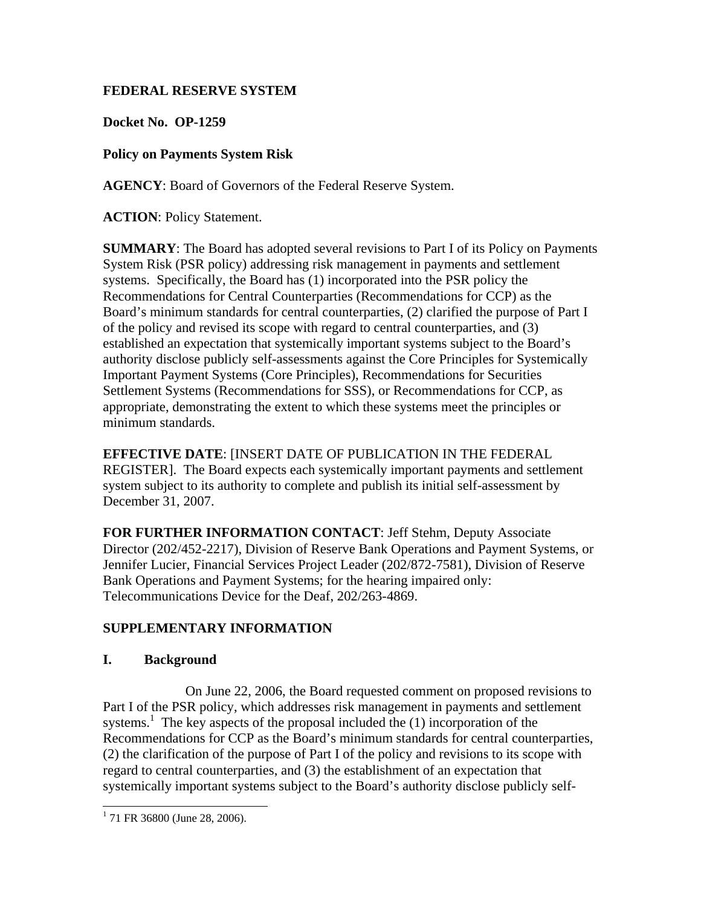# **FEDERAL RESERVE SYSTEM**

**Docket No. OP-1259**

# **Policy on Payments System Risk**

**AGENCY**: Board of Governors of the Federal Reserve System.

**ACTION**: Policy Statement.

**SUMMARY**: The Board has adopted several revisions to Part I of its Policy on Payments System Risk (PSR policy) addressing risk management in payments and settlement systems. Specifically, the Board has (1) incorporated into the PSR policy the Recommendations for Central Counterparties (Recommendations for CCP) as the Board's minimum standards for central counterparties, (2) clarified the purpose of Part I of the policy and revised its scope with regard to central counterparties, and (3) established an expectation that systemically important systems subject to the Board's authority disclose publicly self-assessments against the Core Principles for Systemically Important Payment Systems (Core Principles), Recommendations for Securities Settlement Systems (Recommendations for SSS), or Recommendations for CCP, as appropriate, demonstrating the extent to which these systems meet the principles or minimum standards.

**EFFECTIVE DATE**: [INSERT DATE OF PUBLICATION IN THE FEDERAL REGISTER]. The Board expects each systemically important payments and settlement system subject to its authority to complete and publish its initial self-assessment by December 31, 2007.

**FOR FURTHER INFORMATION CONTACT**: Jeff Stehm, Deputy Associate Director (202/452-2217), Division of Reserve Bank Operations and Payment Systems, or Jennifer Lucier, Financial Services Project Leader (202/872-7581), Division of Reserve Bank Operations and Payment Systems; for the hearing impaired only: Telecommunications Device for the Deaf, 202/263-4869.

# **SUPPLEMENTARY INFORMATION**

## **I. Background**

 On June 22, 2006, the Board requested comment on proposed revisions to Part I of the PSR policy, which addresses risk management in payments and settlement systems.<sup>1</sup> The key aspects of the proposal included the  $(1)$  incorporation of the Recommendations for CCP as the Board's minimum standards for central counterparties, (2) the clarification of the purpose of Part I of the policy and revisions to its scope with regard to central counterparties, and (3) the establishment of an expectation that systemically important systems subject to the Board's authority disclose publicly self-

 $1$  71 FR 36800 (June 28, 2006).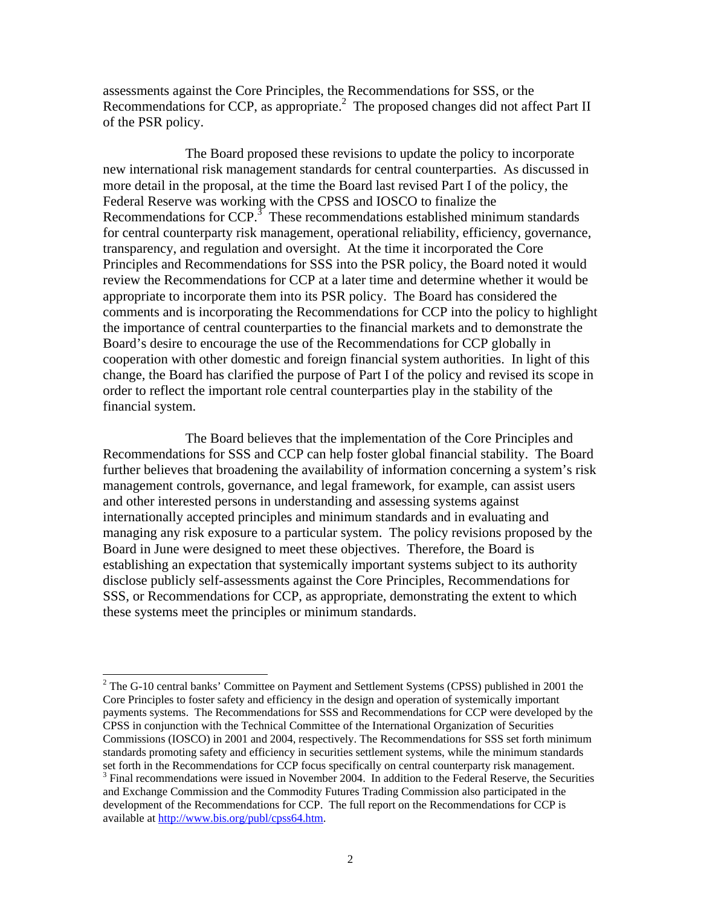assessments against the Core Principles, the Recommendations for SSS, or the Recommendations for CCP, as appropriate. $^2$  The proposed changes did not affect Part II of the PSR policy.

 The Board proposed these revisions to update the policy to incorporate new international risk management standards for central counterparties. As discussed in more detail in the proposal, at the time the Board last revised Part I of the policy, the Federal Reserve was working with the CPSS and IOSCO to finalize the Recommendations for  $CCP$ <sup>3</sup>. These recommendations established minimum standards for central counterparty risk management, operational reliability, efficiency, governance, transparency, and regulation and oversight. At the time it incorporated the Core Principles and Recommendations for SSS into the PSR policy, the Board noted it would review the Recommendations for CCP at a later time and determine whether it would be appropriate to incorporate them into its PSR policy. The Board has considered the comments and is incorporating the Recommendations for CCP into the policy to highlight the importance of central counterparties to the financial markets and to demonstrate the Board's desire to encourage the use of the Recommendations for CCP globally in cooperation with other domestic and foreign financial system authorities. In light of this change, the Board has clarified the purpose of Part I of the policy and revised its scope in order to reflect the important role central counterparties play in the stability of the financial system.

 The Board believes that the implementation of the Core Principles and Recommendations for SSS and CCP can help foster global financial stability. The Board further believes that broadening the availability of information concerning a system's risk management controls, governance, and legal framework, for example, can assist users and other interested persons in understanding and assessing systems against internationally accepted principles and minimum standards and in evaluating and managing any risk exposure to a particular system. The policy revisions proposed by the Board in June were designed to meet these objectives. Therefore, the Board is establishing an expectation that systemically important systems subject to its authority disclose publicly self-assessments against the Core Principles, Recommendations for SSS, or Recommendations for CCP, as appropriate, demonstrating the extent to which these systems meet the principles or minimum standards.

 $2^2$  The G-10 central banks' Committee on Payment and Settlement Systems (CPSS) published in 2001 the Core Principles to foster safety and efficiency in the design and operation of systemically important payments systems. The Recommendations for SSS and Recommendations for CCP were developed by the CPSS in conjunction with the Technical Committee of the International Organization of Securities Commissions (IOSCO) in 2001 and 2004, respectively. The Recommendations for SSS set forth minimum standards promoting safety and efficiency in securities settlement systems, while the minimum standards set forth in the Recommendations for CCP focus specifically on central counterparty risk management. <sup>3</sup> Final recommendations were issued in November 2004. In addition to the Federal Reserve, the Securities and Exchange Commission and the Commodity Futures Trading Commission also participated in the

development of the Recommendations for CCP. The full report on the Recommendations for CCP is available at http://www.bis.org/publ/cpss64.htm.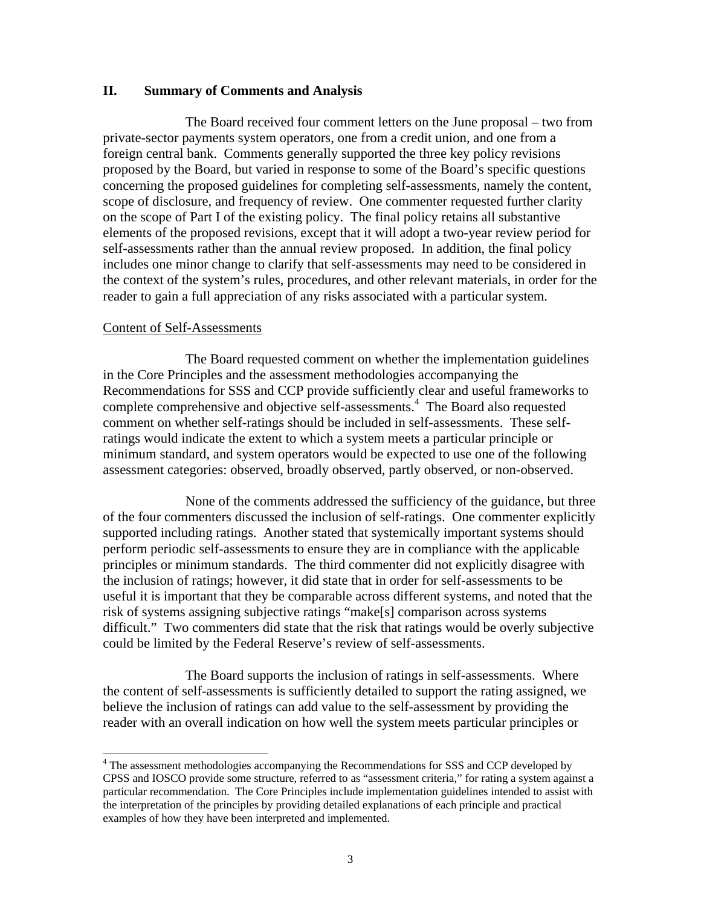#### **II. Summary of Comments and Analysis**

 The Board received four comment letters on the June proposal – two from private-sector payments system operators, one from a credit union, and one from a foreign central bank. Comments generally supported the three key policy revisions proposed by the Board, but varied in response to some of the Board's specific questions concerning the proposed guidelines for completing self-assessments, namely the content, scope of disclosure, and frequency of review. One commenter requested further clarity on the scope of Part I of the existing policy. The final policy retains all substantive elements of the proposed revisions, except that it will adopt a two-year review period for self-assessments rather than the annual review proposed. In addition, the final policy includes one minor change to clarify that self-assessments may need to be considered in the context of the system's rules, procedures, and other relevant materials, in order for the reader to gain a full appreciation of any risks associated with a particular system.

#### Content of Self-Assessments

 $\overline{a}$ 

 The Board requested comment on whether the implementation guidelines in the Core Principles and the assessment methodologies accompanying the Recommendations for SSS and CCP provide sufficiently clear and useful frameworks to complete comprehensive and objective self-assessments.<sup>4</sup> The Board also requested comment on whether self-ratings should be included in self-assessments. These selfratings would indicate the extent to which a system meets a particular principle or minimum standard, and system operators would be expected to use one of the following assessment categories: observed, broadly observed, partly observed, or non-observed.

None of the comments addressed the sufficiency of the guidance, but three of the four commenters discussed the inclusion of self-ratings. One commenter explicitly supported including ratings. Another stated that systemically important systems should perform periodic self-assessments to ensure they are in compliance with the applicable principles or minimum standards. The third commenter did not explicitly disagree with the inclusion of ratings; however, it did state that in order for self-assessments to be useful it is important that they be comparable across different systems, and noted that the risk of systems assigning subjective ratings "make[s] comparison across systems difficult." Two commenters did state that the risk that ratings would be overly subjective could be limited by the Federal Reserve's review of self-assessments.

The Board supports the inclusion of ratings in self-assessments. Where the content of self-assessments is sufficiently detailed to support the rating assigned, we believe the inclusion of ratings can add value to the self-assessment by providing the reader with an overall indication on how well the system meets particular principles or

<sup>&</sup>lt;sup>4</sup> The assessment methodologies accompanying the Recommendations for SSS and CCP developed by CPSS and IOSCO provide some structure, referred to as "assessment criteria," for rating a system against a particular recommendation. The Core Principles include implementation guidelines intended to assist with the interpretation of the principles by providing detailed explanations of each principle and practical examples of how they have been interpreted and implemented.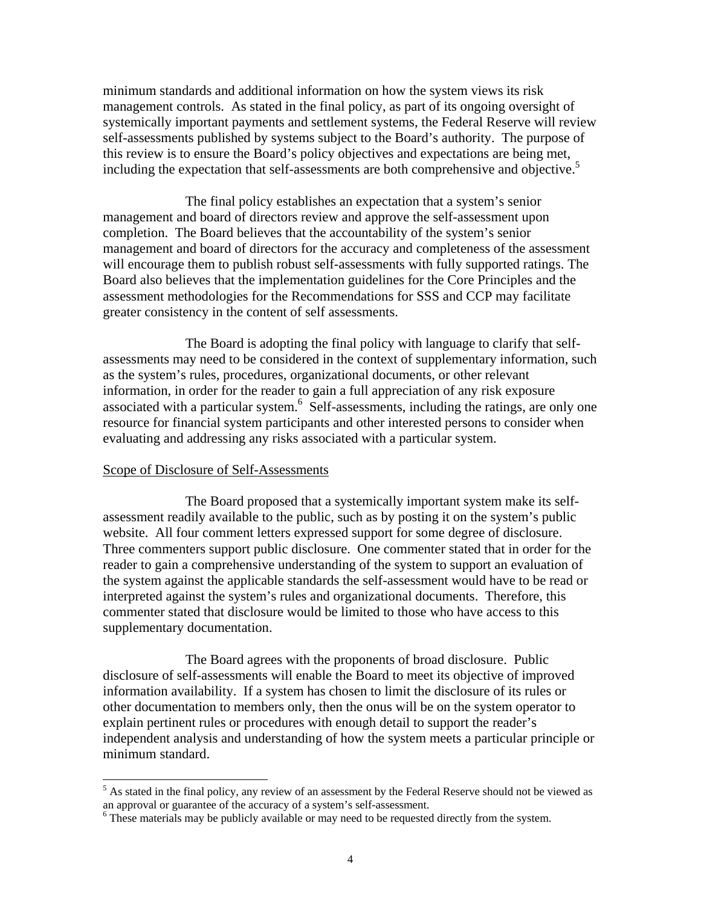minimum standards and additional information on how the system views its risk management controls. As stated in the final policy, as part of its ongoing oversight of systemically important payments and settlement systems, the Federal Reserve will review self-assessments published by systems subject to the Board's authority. The purpose of this review is to ensure the Board's policy objectives and expectations are being met, including the expectation that self-assessments are both comprehensive and objective.<sup>5</sup>

The final policy establishes an expectation that a system's senior management and board of directors review and approve the self-assessment upon completion. The Board believes that the accountability of the system's senior management and board of directors for the accuracy and completeness of the assessment will encourage them to publish robust self-assessments with fully supported ratings. The Board also believes that the implementation guidelines for the Core Principles and the assessment methodologies for the Recommendations for SSS and CCP may facilitate greater consistency in the content of self assessments.

The Board is adopting the final policy with language to clarify that selfassessments may need to be considered in the context of supplementary information, such as the system's rules, procedures, organizational documents, or other relevant information, in order for the reader to gain a full appreciation of any risk exposure associated with a particular system.<sup>6</sup> Self-assessments, including the ratings, are only one resource for financial system participants and other interested persons to consider when evaluating and addressing any risks associated with a particular system.

### Scope of Disclosure of Self-Assessments

 The Board proposed that a systemically important system make its selfassessment readily available to the public, such as by posting it on the system's public website. All four comment letters expressed support for some degree of disclosure. Three commenters support public disclosure. One commenter stated that in order for the reader to gain a comprehensive understanding of the system to support an evaluation of the system against the applicable standards the self-assessment would have to be read or interpreted against the system's rules and organizational documents. Therefore, this commenter stated that disclosure would be limited to those who have access to this supplementary documentation.

 The Board agrees with the proponents of broad disclosure. Public disclosure of self-assessments will enable the Board to meet its objective of improved information availability. If a system has chosen to limit the disclosure of its rules or other documentation to members only, then the onus will be on the system operator to explain pertinent rules or procedures with enough detail to support the reader's independent analysis and understanding of how the system meets a particular principle or minimum standard.

<sup>&</sup>lt;sup>5</sup> As stated in the final policy, any review of an assessment by the Federal Reserve should not be viewed as an approval or guarantee of the accuracy of a system's self-assessment.

<sup>&</sup>lt;sup>6</sup> These materials may be publicly available or may need to be requested directly from the system.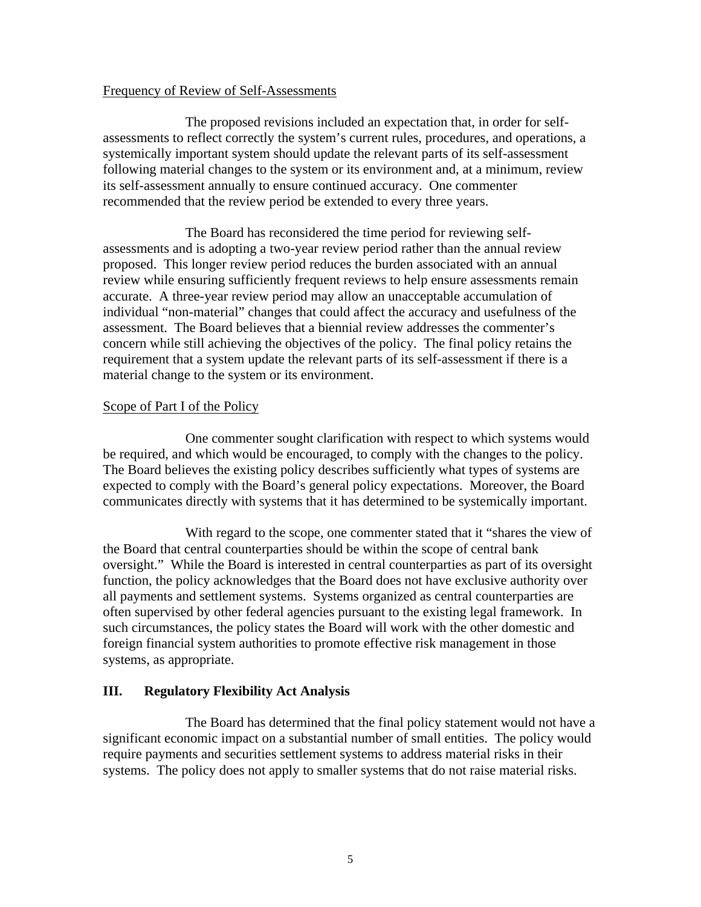#### Frequency of Review of Self-Assessments

 The proposed revisions included an expectation that, in order for selfassessments to reflect correctly the system's current rules, procedures, and operations, a systemically important system should update the relevant parts of its self-assessment following material changes to the system or its environment and, at a minimum, review its self-assessment annually to ensure continued accuracy. One commenter recommended that the review period be extended to every three years.

 The Board has reconsidered the time period for reviewing selfassessments and is adopting a two-year review period rather than the annual review proposed. This longer review period reduces the burden associated with an annual review while ensuring sufficiently frequent reviews to help ensure assessments remain accurate. A three-year review period may allow an unacceptable accumulation of individual "non-material" changes that could affect the accuracy and usefulness of the assessment. The Board believes that a biennial review addresses the commenter's concern while still achieving the objectives of the policy. The final policy retains the requirement that a system update the relevant parts of its self-assessment if there is a material change to the system or its environment.

#### Scope of Part I of the Policy

One commenter sought clarification with respect to which systems would be required, and which would be encouraged, to comply with the changes to the policy. The Board believes the existing policy describes sufficiently what types of systems are expected to comply with the Board's general policy expectations. Moreover, the Board communicates directly with systems that it has determined to be systemically important.

With regard to the scope, one commenter stated that it "shares the view of the Board that central counterparties should be within the scope of central bank oversight." While the Board is interested in central counterparties as part of its oversight function, the policy acknowledges that the Board does not have exclusive authority over all payments and settlement systems. Systems organized as central counterparties are often supervised by other federal agencies pursuant to the existing legal framework. In such circumstances, the policy states the Board will work with the other domestic and foreign financial system authorities to promote effective risk management in those systems, as appropriate.

### **III. Regulatory Flexibility Act Analysis**

The Board has determined that the final policy statement would not have a significant economic impact on a substantial number of small entities. The policy would require payments and securities settlement systems to address material risks in their systems. The policy does not apply to smaller systems that do not raise material risks.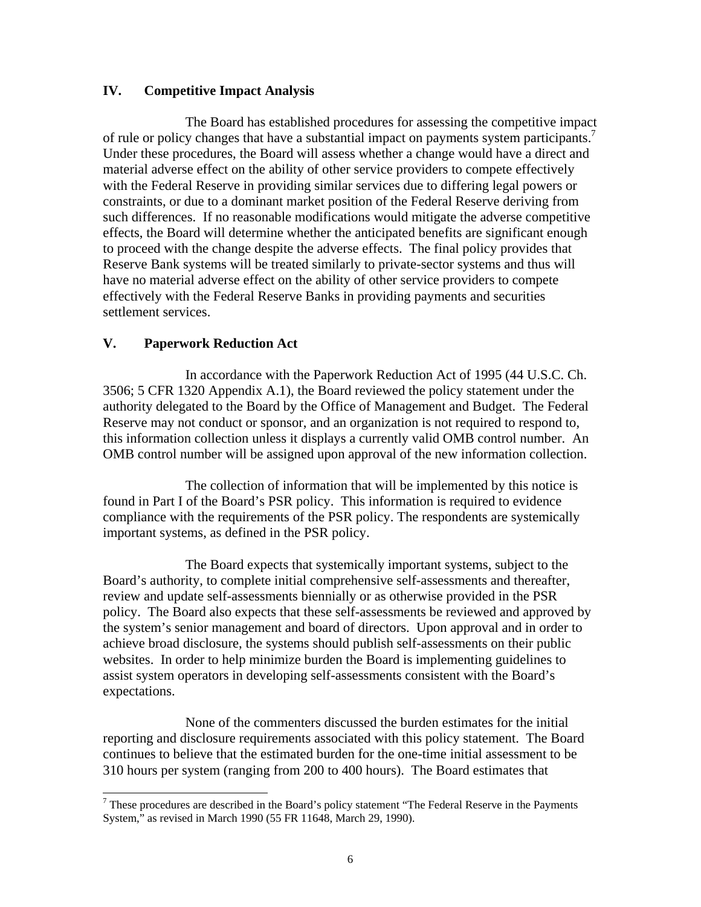### **IV. Competitive Impact Analysis**

The Board has established procedures for assessing the competitive impact of rule or policy changes that have a substantial impact on payments system participants.<sup>7</sup> Under these procedures, the Board will assess whether a change would have a direct and material adverse effect on the ability of other service providers to compete effectively with the Federal Reserve in providing similar services due to differing legal powers or constraints, or due to a dominant market position of the Federal Reserve deriving from such differences. If no reasonable modifications would mitigate the adverse competitive effects, the Board will determine whether the anticipated benefits are significant enough to proceed with the change despite the adverse effects. The final policy provides that Reserve Bank systems will be treated similarly to private-sector systems and thus will have no material adverse effect on the ability of other service providers to compete effectively with the Federal Reserve Banks in providing payments and securities settlement services.

### **V. Paperwork Reduction Act**

 $\overline{a}$ 

In accordance with the Paperwork Reduction Act of 1995 (44 U.S.C. Ch. 3506; 5 CFR 1320 Appendix A.1), the Board reviewed the policy statement under the authority delegated to the Board by the Office of Management and Budget. The Federal Reserve may not conduct or sponsor, and an organization is not required to respond to, this information collection unless it displays a currently valid OMB control number. An OMB control number will be assigned upon approval of the new information collection.

 The collection of information that will be implemented by this notice is found in Part I of the Board's PSR policy. This information is required to evidence compliance with the requirements of the PSR policy. The respondents are systemically important systems, as defined in the PSR policy.

 The Board expects that systemically important systems, subject to the Board's authority, to complete initial comprehensive self-assessments and thereafter, review and update self-assessments biennially or as otherwise provided in the PSR policy. The Board also expects that these self-assessments be reviewed and approved by the system's senior management and board of directors. Upon approval and in order to achieve broad disclosure, the systems should publish self-assessments on their public websites. In order to help minimize burden the Board is implementing guidelines to assist system operators in developing self-assessments consistent with the Board's expectations.

 None of the commenters discussed the burden estimates for the initial reporting and disclosure requirements associated with this policy statement. The Board continues to believe that the estimated burden for the one-time initial assessment to be 310 hours per system (ranging from 200 to 400 hours). The Board estimates that

 $7$  These procedures are described in the Board's policy statement "The Federal Reserve in the Payments" System," as revised in March 1990 (55 FR 11648, March 29, 1990).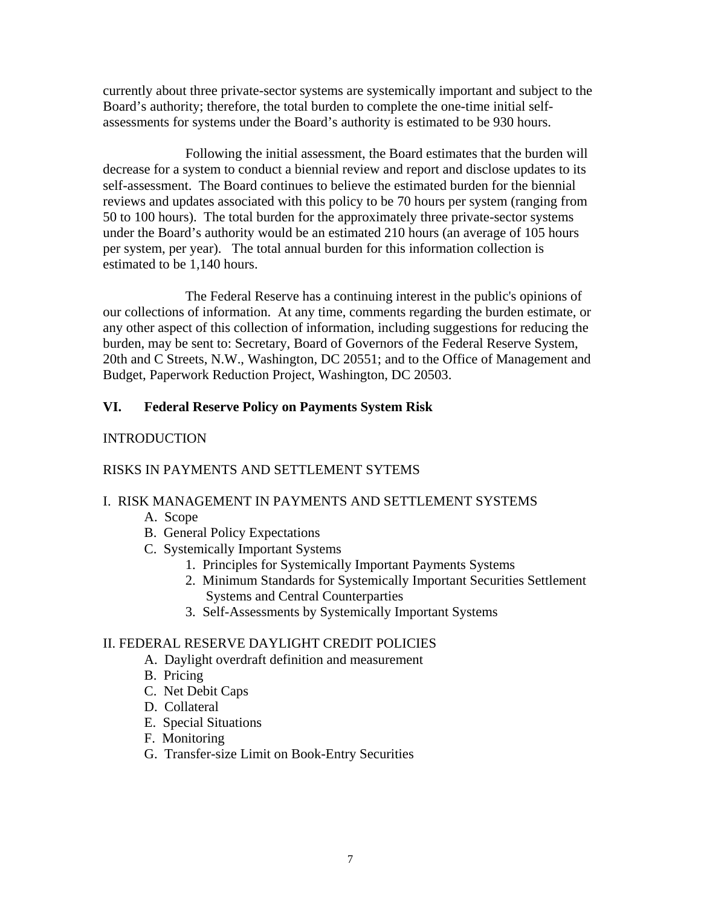currently about three private-sector systems are systemically important and subject to the Board's authority; therefore, the total burden to complete the one-time initial selfassessments for systems under the Board's authority is estimated to be 930 hours.

 Following the initial assessment, the Board estimates that the burden will decrease for a system to conduct a biennial review and report and disclose updates to its self-assessment. The Board continues to believe the estimated burden for the biennial reviews and updates associated with this policy to be 70 hours per system (ranging from 50 to 100 hours). The total burden for the approximately three private-sector systems under the Board's authority would be an estimated 210 hours (an average of 105 hours per system, per year). The total annual burden for this information collection is estimated to be 1,140 hours.

 The Federal Reserve has a continuing interest in the public's opinions of our collections of information. At any time, comments regarding the burden estimate, or any other aspect of this collection of information, including suggestions for reducing the burden, may be sent to: Secretary, Board of Governors of the Federal Reserve System, 20th and C Streets, N.W., Washington, DC 20551; and to the Office of Management and Budget, Paperwork Reduction Project, Washington, DC 20503.

## **VI. Federal Reserve Policy on Payments System Risk**

### INTRODUCTION

## RISKS IN PAYMENTS AND SETTLEMENT SYTEMS

## I. RISK MANAGEMENT IN PAYMENTS AND SETTLEMENT SYSTEMS

- A. Scope
- B. General Policy Expectations
- C. Systemically Important Systems
	- 1. Principles for Systemically Important Payments Systems
	- 2. Minimum Standards for Systemically Important Securities Settlement Systems and Central Counterparties
	- 3. Self-Assessments by Systemically Important Systems

### II. FEDERAL RESERVE DAYLIGHT CREDIT POLICIES

- A. Daylight overdraft definition and measurement
- B. Pricing
- C. Net Debit Caps
- D. Collateral
- E. Special Situations
- F. Monitoring
- G. Transfer-size Limit on Book-Entry Securities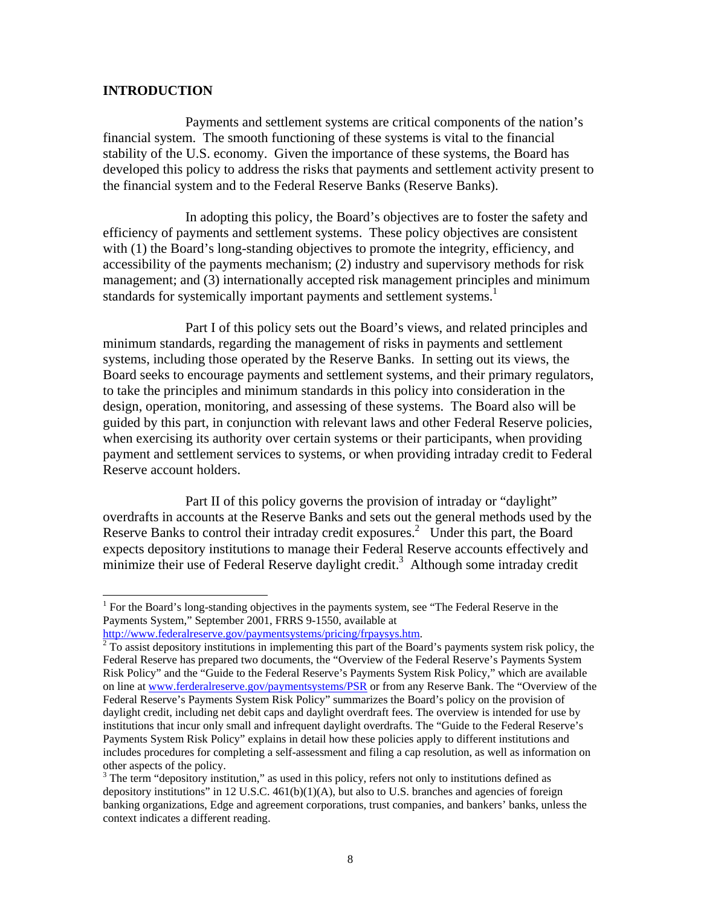#### **INTRODUCTION**

 $\overline{a}$ 

 Payments and settlement systems are critical components of the nation's financial system. The smooth functioning of these systems is vital to the financial stability of the U.S. economy. Given the importance of these systems, the Board has developed this policy to address the risks that payments and settlement activity present to the financial system and to the Federal Reserve Banks (Reserve Banks).

 In adopting this policy, the Board's objectives are to foster the safety and efficiency of payments and settlement systems. These policy objectives are consistent with (1) the Board's long-standing objectives to promote the integrity, efficiency, and accessibility of the payments mechanism; (2) industry and supervisory methods for risk management; and (3) internationally accepted risk management principles and minimum standards for systemically important payments and settlement systems.<sup>1</sup>

 Part I of this policy sets out the Board's views, and related principles and minimum standards, regarding the management of risks in payments and settlement systems, including those operated by the Reserve Banks. In setting out its views, the Board seeks to encourage payments and settlement systems, and their primary regulators, to take the principles and minimum standards in this policy into consideration in the design, operation, monitoring, and assessing of these systems. The Board also will be guided by this part, in conjunction with relevant laws and other Federal Reserve policies, when exercising its authority over certain systems or their participants, when providing payment and settlement services to systems, or when providing intraday credit to Federal Reserve account holders.

 Part II of this policy governs the provision of intraday or "daylight" overdrafts in accounts at the Reserve Banks and sets out the general methods used by the Reserve Banks to control their intraday credit exposures.<sup>2</sup> Under this part, the Board expects depository institutions to manage their Federal Reserve accounts effectively and minimize their use of Federal Reserve daylight credit.<sup>3</sup> Although some intraday credit

<sup>&</sup>lt;sup>1</sup> For the Board's long-standing objectives in the payments system, see "The Federal Reserve in the Payments System," September 2001, FRRS 9-1550, available at

http://www.federalreserve.gov/paymentsystems/pricing/frpaysys.htm. 2

 $\frac{1}{2}$  To assist depository institutions in implementing this part of the Board's payments system risk policy, the Federal Reserve has prepared two documents, the "Overview of the Federal Reserve's Payments System Risk Policy" and the "Guide to the Federal Reserve's Payments System Risk Policy," which are available on line at www.ferderalreserve.gov/paymentsystems/PSR or from any Reserve Bank. The "Overview of the Federal Reserve's Payments System Risk Policy" summarizes the Board's policy on the provision of daylight credit, including net debit caps and daylight overdraft fees. The overview is intended for use by institutions that incur only small and infrequent daylight overdrafts. The "Guide to the Federal Reserve's Payments System Risk Policy" explains in detail how these policies apply to different institutions and includes procedures for completing a self-assessment and filing a cap resolution, as well as information on other aspects of the policy.

 $3$  The term "depository institution," as used in this policy, refers not only to institutions defined as depository institutions" in 12 U.S.C.  $461(b)(1)(A)$ , but also to U.S. branches and agencies of foreign banking organizations, Edge and agreement corporations, trust companies, and bankers' banks, unless the context indicates a different reading.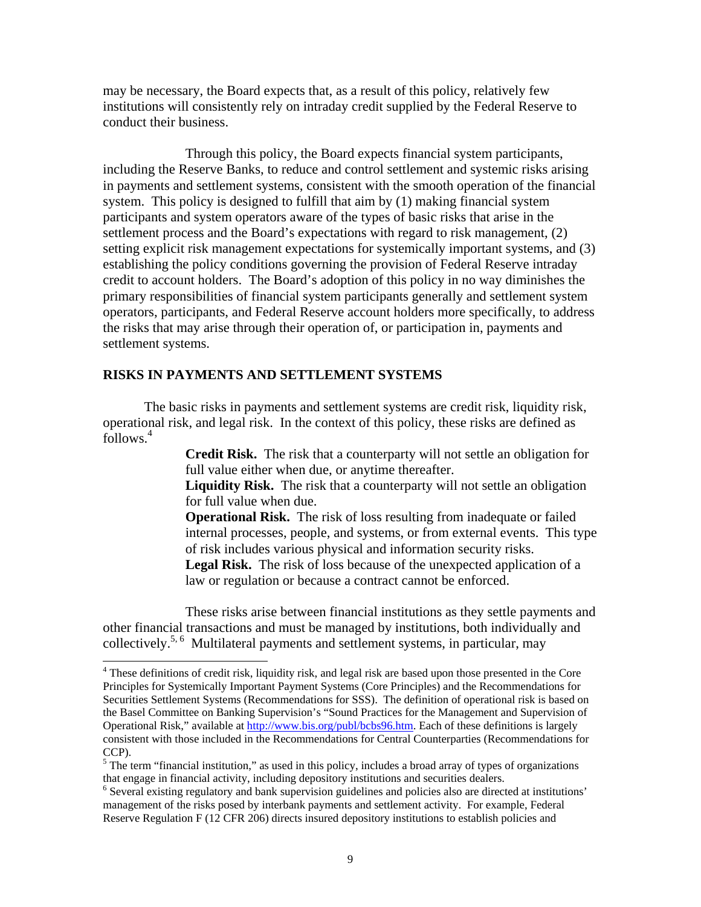may be necessary, the Board expects that, as a result of this policy, relatively few institutions will consistently rely on intraday credit supplied by the Federal Reserve to conduct their business.

Through this policy, the Board expects financial system participants, including the Reserve Banks, to reduce and control settlement and systemic risks arising in payments and settlement systems, consistent with the smooth operation of the financial system. This policy is designed to fulfill that aim by (1) making financial system participants and system operators aware of the types of basic risks that arise in the settlement process and the Board's expectations with regard to risk management, (2) setting explicit risk management expectations for systemically important systems, and (3) establishing the policy conditions governing the provision of Federal Reserve intraday credit to account holders. The Board's adoption of this policy in no way diminishes the primary responsibilities of financial system participants generally and settlement system operators, participants, and Federal Reserve account holders more specifically, to address the risks that may arise through their operation of, or participation in, payments and settlement systems.

#### **RISKS IN PAYMENTS AND SETTLEMENT SYSTEMS**

 $\overline{a}$ 

 The basic risks in payments and settlement systems are credit risk, liquidity risk, operational risk, and legal risk. In the context of this policy, these risks are defined as follows.4

> **Credit Risk.**The risk that a counterparty will not settle an obligation for full value either when due, or anytime thereafter.

> **Liquidity Risk.**The risk that a counterparty will not settle an obligation for full value when due.

**Operational Risk.** The risk of loss resulting from inadequate or failed internal processes, people, and systems, or from external events. This type of risk includes various physical and information security risks.

**Legal Risk.**The risk of loss because of the unexpected application of a law or regulation or because a contract cannot be enforced.

 These risks arise between financial institutions as they settle payments and other financial transactions and must be managed by institutions, both individually and collectively.<sup>5, 6</sup> Multilateral payments and settlement systems, in particular, may

<sup>&</sup>lt;sup>4</sup> These definitions of credit risk, liquidity risk, and legal risk are based upon those presented in the Core Principles for Systemically Important Payment Systems (Core Principles) and the Recommendations for Securities Settlement Systems (Recommendations for SSS). The definition of operational risk is based on the Basel Committee on Banking Supervision's "Sound Practices for the Management and Supervision of Operational Risk," available at http://www.bis.org/publ/bcbs96.htm. Each of these definitions is largely consistent with those included in the Recommendations for Central Counterparties (Recommendations for CCP).

<sup>&</sup>lt;sup>5</sup> The term "financial institution," as used in this policy, includes a broad array of types of organizations that engage in financial activity, including depository institutions and securities dealers. 6

<sup>&</sup>lt;sup>6</sup> Several existing regulatory and bank supervision guidelines and policies also are directed at institutions' management of the risks posed by interbank payments and settlement activity. For example, Federal Reserve Regulation F (12 CFR 206) directs insured depository institutions to establish policies and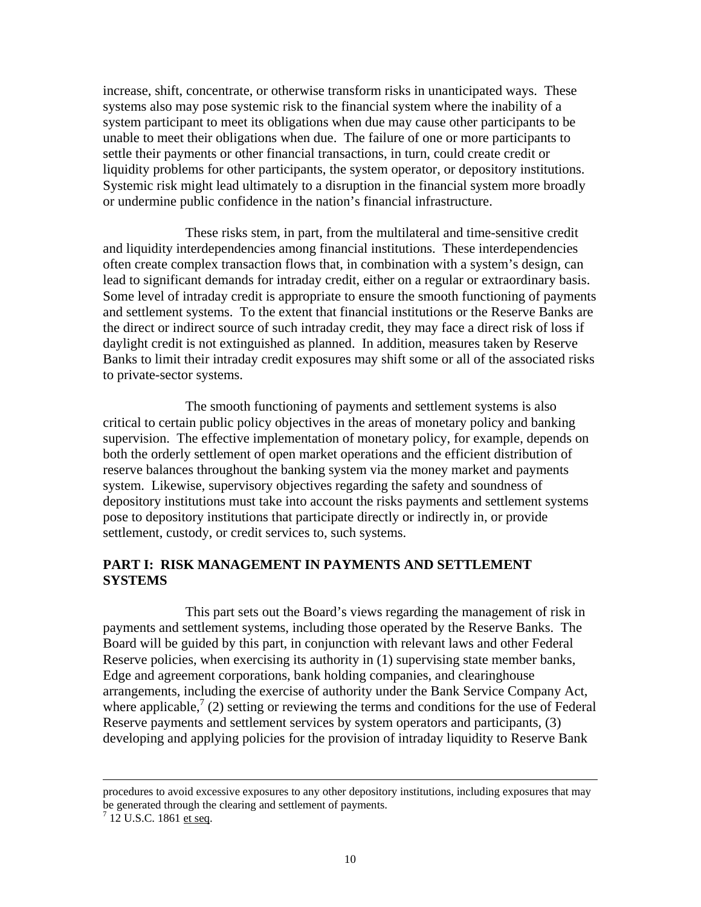increase, shift, concentrate, or otherwise transform risks in unanticipated ways. These systems also may pose systemic risk to the financial system where the inability of a system participant to meet its obligations when due may cause other participants to be unable to meet their obligations when due. The failure of one or more participants to settle their payments or other financial transactions, in turn, could create credit or liquidity problems for other participants, the system operator, or depository institutions. Systemic risk might lead ultimately to a disruption in the financial system more broadly or undermine public confidence in the nation's financial infrastructure.

 These risks stem, in part, from the multilateral and time-sensitive credit and liquidity interdependencies among financial institutions. These interdependencies often create complex transaction flows that, in combination with a system's design, can lead to significant demands for intraday credit, either on a regular or extraordinary basis. Some level of intraday credit is appropriate to ensure the smooth functioning of payments and settlement systems. To the extent that financial institutions or the Reserve Banks are the direct or indirect source of such intraday credit, they may face a direct risk of loss if daylight credit is not extinguished as planned. In addition, measures taken by Reserve Banks to limit their intraday credit exposures may shift some or all of the associated risks to private-sector systems.

The smooth functioning of payments and settlement systems is also critical to certain public policy objectives in the areas of monetary policy and banking supervision. The effective implementation of monetary policy, for example, depends on both the orderly settlement of open market operations and the efficient distribution of reserve balances throughout the banking system via the money market and payments system. Likewise, supervisory objectives regarding the safety and soundness of depository institutions must take into account the risks payments and settlement systems pose to depository institutions that participate directly or indirectly in, or provide settlement, custody, or credit services to, such systems.

### **PART I: RISK MANAGEMENT IN PAYMENTS AND SETTLEMENT SYSTEMS**

This part sets out the Board's views regarding the management of risk in payments and settlement systems, including those operated by the Reserve Banks. The Board will be guided by this part, in conjunction with relevant laws and other Federal Reserve policies, when exercising its authority in (1) supervising state member banks, Edge and agreement corporations, bank holding companies, and clearinghouse arrangements, including the exercise of authority under the Bank Service Company Act, where applicable,<sup>7</sup> (2) setting or reviewing the terms and conditions for the use of Federal Reserve payments and settlement services by system operators and participants, (3) developing and applying policies for the provision of intraday liquidity to Reserve Bank

l

procedures to avoid excessive exposures to any other depository institutions, including exposures that may be generated through the clearing and settlement of payments.

 $^{7}$  12 U.S.C. 1861 et seq.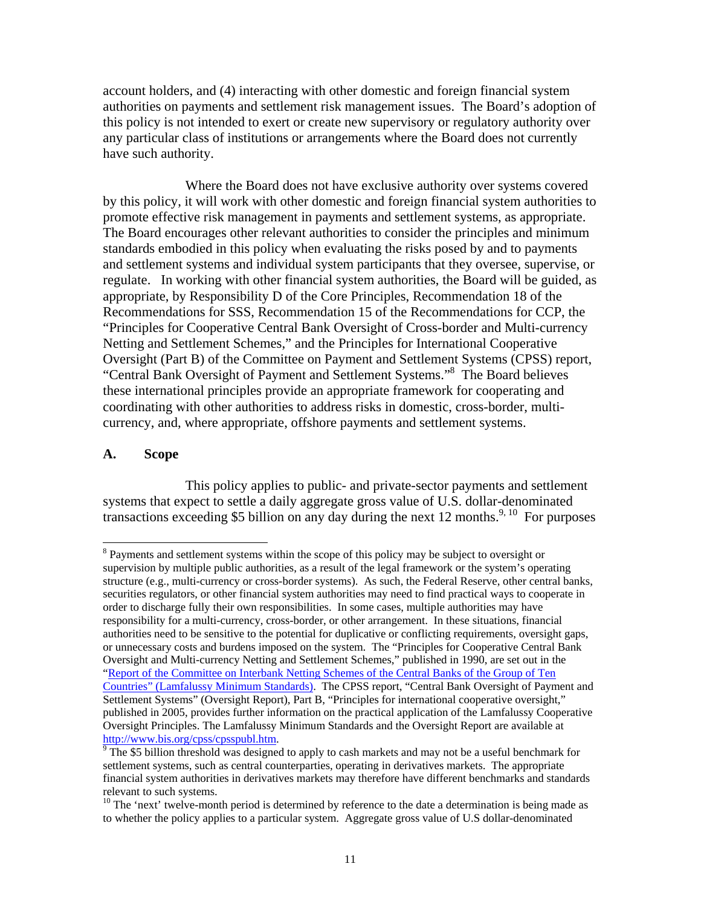account holders, and (4) interacting with other domestic and foreign financial system authorities on payments and settlement risk management issues. The Board's adoption of this policy is not intended to exert or create new supervisory or regulatory authority over any particular class of institutions or arrangements where the Board does not currently have such authority.

Where the Board does not have exclusive authority over systems covered by this policy, it will work with other domestic and foreign financial system authorities to promote effective risk management in payments and settlement systems, as appropriate. The Board encourages other relevant authorities to consider the principles and minimum standards embodied in this policy when evaluating the risks posed by and to payments and settlement systems and individual system participants that they oversee, supervise, or regulate. In working with other financial system authorities, the Board will be guided, as appropriate, by Responsibility D of the Core Principles, Recommendation 18 of the Recommendations for SSS, Recommendation 15 of the Recommendations for CCP, the "Principles for Cooperative Central Bank Oversight of Cross-border and Multi-currency Netting and Settlement Schemes," and the Principles for International Cooperative Oversight (Part B) of the Committee on Payment and Settlement Systems (CPSS) report, "Central Bank Oversight of Payment and Settlement Systems."8 The Board believes these international principles provide an appropriate framework for cooperating and coordinating with other authorities to address risks in domestic, cross-border, multicurrency, and, where appropriate, offshore payments and settlement systems.

#### **A. Scope**

 $\overline{a}$ 

 This policy applies to public- and private-sector payments and settlement systems that expect to settle a daily aggregate gross value of U.S. dollar-denominated transactions exceeding \$5 billion on any day during the next 12 months.<sup>9, 10</sup> For purposes

<sup>&</sup>lt;sup>8</sup> Payments and settlement systems within the scope of this policy may be subject to oversight or supervision by multiple public authorities, as a result of the legal framework or the system's operating structure (e.g., multi-currency or cross-border systems). As such, the Federal Reserve, other central banks, securities regulators, or other financial system authorities may need to find practical ways to cooperate in order to discharge fully their own responsibilities. In some cases, multiple authorities may have responsibility for a multi-currency, cross-border, or other arrangement. In these situations, financial authorities need to be sensitive to the potential for duplicative or conflicting requirements, oversight gaps, or unnecessary costs and burdens imposed on the system. The "Principles for Cooperative Central Bank Oversight and Multi-currency Netting and Settlement Schemes," published in 1990, are set out in the "Report of the Committee on Interbank Netting Schemes of the Central Banks of the Group of Ten Countries" (Lamfalussy Minimum Standards). The CPSS report, "Central Bank Oversight of Payment and Settlement Systems" (Oversight Report), Part B, "Principles for international cooperative oversight," published in 2005, provides further information on the practical application of the Lamfalussy Cooperative Oversight Principles. The Lamfalussy Minimum Standards and the Oversight Report are available at http://www.bis.org/cpss/cpsspubl.htm.

 $\frac{1}{9}$  The \$5 billion threshold was designed to apply to cash markets and may not be a useful benchmark for settlement systems, such as central counterparties, operating in derivatives markets. The appropriate financial system authorities in derivatives markets may therefore have different benchmarks and standards relevant to such systems.

<sup>&</sup>lt;sup>10</sup> The 'next' twelve-month period is determined by reference to the date a determination is being made as to whether the policy applies to a particular system. Aggregate gross value of U.S dollar-denominated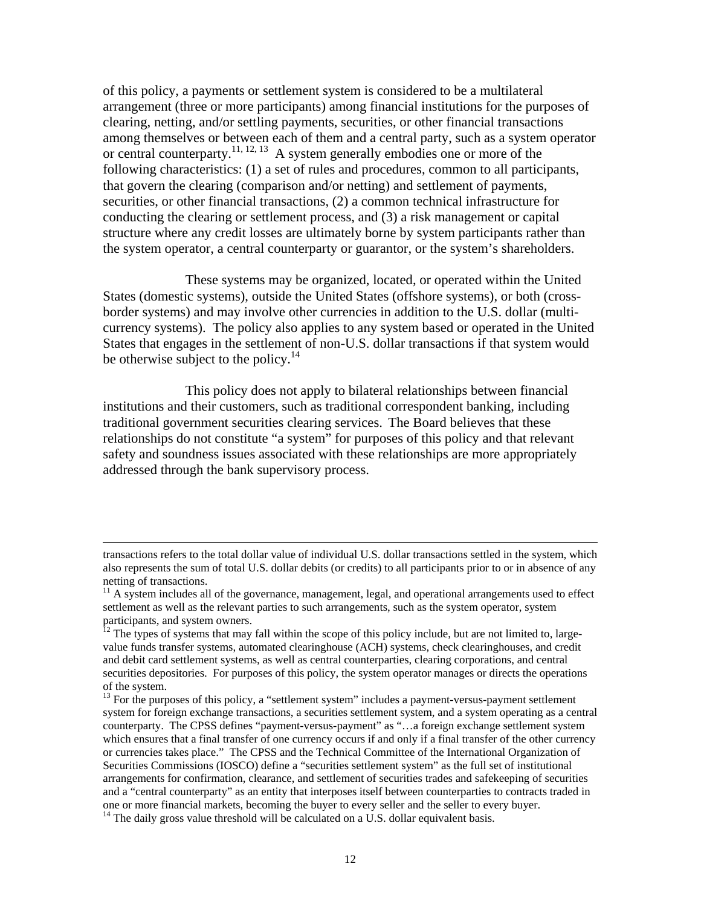of this policy, a payments or settlement system is considered to be a multilateral arrangement (three or more participants) among financial institutions for the purposes of clearing, netting, and/or settling payments, securities, or other financial transactions among themselves or between each of them and a central party, such as a system operator or central counterparty.<sup>11, 12, 13</sup> A system generally embodies one or more of the following characteristics: (1) a set of rules and procedures, common to all participants, that govern the clearing (comparison and/or netting) and settlement of payments, securities, or other financial transactions, (2) a common technical infrastructure for conducting the clearing or settlement process, and (3) a risk management or capital structure where any credit losses are ultimately borne by system participants rather than the system operator, a central counterparty or guarantor, or the system's shareholders.

 These systems may be organized, located, or operated within the United States (domestic systems), outside the United States (offshore systems), or both (crossborder systems) and may involve other currencies in addition to the U.S. dollar (multicurrency systems). The policy also applies to any system based or operated in the United States that engages in the settlement of non-U.S. dollar transactions if that system would be otherwise subject to the policy.<sup>14</sup>

 This policy does not apply to bilateral relationships between financial institutions and their customers, such as traditional correspondent banking, including traditional government securities clearing services. The Board believes that these relationships do not constitute "a system" for purposes of this policy and that relevant safety and soundness issues associated with these relationships are more appropriately addressed through the bank supervisory process.

transactions refers to the total dollar value of individual U.S. dollar transactions settled in the system, which also represents the sum of total U.S. dollar debits (or credits) to all participants prior to or in absence of any netting of transactions.

 $11$  A system includes all of the governance, management, legal, and operational arrangements used to effect settlement as well as the relevant parties to such arrangements, such as the system operator, system participants, and system owners.

 $12$  The types of systems that may fall within the scope of this policy include, but are not limited to, largevalue funds transfer systems, automated clearinghouse (ACH) systems, check clearinghouses, and credit and debit card settlement systems, as well as central counterparties, clearing corporations, and central securities depositories. For purposes of this policy, the system operator manages or directs the operations of the system.

 $13$  For the purposes of this policy, a "settlement system" includes a payment-versus-payment settlement system for foreign exchange transactions, a securities settlement system, and a system operating as a central counterparty. The CPSS defines "payment-versus-payment" as "…a foreign exchange settlement system which ensures that a final transfer of one currency occurs if and only if a final transfer of the other currency or currencies takes place." The CPSS and the Technical Committee of the International Organization of Securities Commissions (IOSCO) define a "securities settlement system" as the full set of institutional arrangements for confirmation, clearance, and settlement of securities trades and safekeeping of securities and a "central counterparty" as an entity that interposes itself between counterparties to contracts traded in one or more financial markets, becoming the buyer to every seller and the seller to every buyer.  $14$  The daily gross value threshold will be calculated on a U.S. dollar equivalent basis.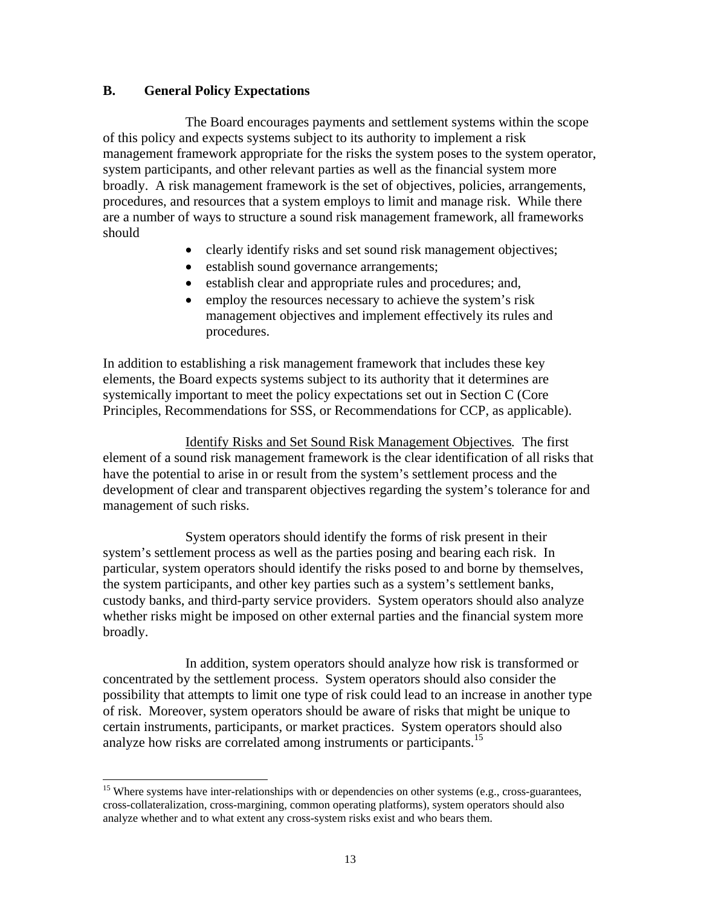### **B. General Policy Expectations**

l

 The Board encourages payments and settlement systems within the scope of this policy and expects systems subject to its authority to implement a risk management framework appropriate for the risks the system poses to the system operator, system participants, and other relevant parties as well as the financial system more broadly. A risk management framework is the set of objectives, policies, arrangements, procedures, and resources that a system employs to limit and manage risk. While there are a number of ways to structure a sound risk management framework, all frameworks should

- clearly identify risks and set sound risk management objectives;
- establish sound governance arrangements;
- establish clear and appropriate rules and procedures; and,
- employ the resources necessary to achieve the system's risk management objectives and implement effectively its rules and procedures.

In addition to establishing a risk management framework that includes these key elements, the Board expects systems subject to its authority that it determines are systemically important to meet the policy expectations set out in Section C (Core Principles, Recommendations for SSS, or Recommendations for CCP, as applicable).

Identify Risks and Set Sound Risk Management Objectives*.* The first element of a sound risk management framework is the clear identification of all risks that have the potential to arise in or result from the system's settlement process and the development of clear and transparent objectives regarding the system's tolerance for and management of such risks.

 System operators should identify the forms of risk present in their system's settlement process as well as the parties posing and bearing each risk. In particular, system operators should identify the risks posed to and borne by themselves, the system participants, and other key parties such as a system's settlement banks, custody banks, and third-party service providers. System operators should also analyze whether risks might be imposed on other external parties and the financial system more broadly.

 In addition, system operators should analyze how risk is transformed or concentrated by the settlement process. System operators should also consider the possibility that attempts to limit one type of risk could lead to an increase in another type of risk. Moreover, system operators should be aware of risks that might be unique to certain instruments, participants, or market practices. System operators should also analyze how risks are correlated among instruments or participants.<sup>15</sup>

 $15$  Where systems have inter-relationships with or dependencies on other systems (e.g., cross-guarantees, cross-collateralization, cross-margining, common operating platforms), system operators should also analyze whether and to what extent any cross-system risks exist and who bears them.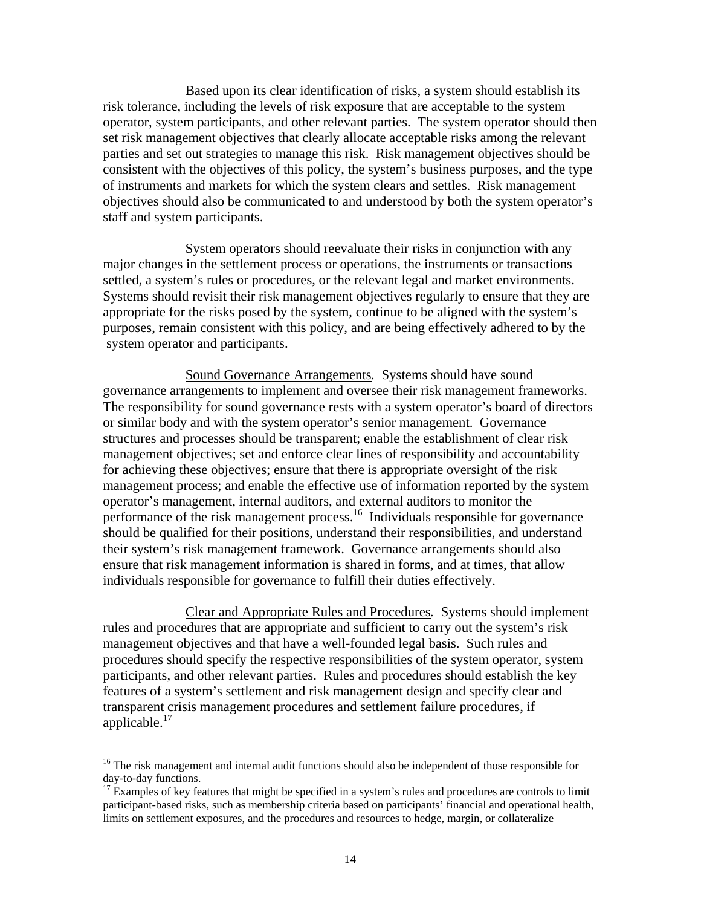Based upon its clear identification of risks, a system should establish its risk tolerance, including the levels of risk exposure that are acceptable to the system operator, system participants, and other relevant parties. The system operator should then set risk management objectives that clearly allocate acceptable risks among the relevant parties and set out strategies to manage this risk. Risk management objectives should be consistent with the objectives of this policy, the system's business purposes, and the type of instruments and markets for which the system clears and settles. Risk management objectives should also be communicated to and understood by both the system operator's staff and system participants.

 System operators should reevaluate their risks in conjunction with any major changes in the settlement process or operations, the instruments or transactions settled, a system's rules or procedures, or the relevant legal and market environments. Systems should revisit their risk management objectives regularly to ensure that they are appropriate for the risks posed by the system, continue to be aligned with the system's purposes, remain consistent with this policy, and are being effectively adhered to by the system operator and participants.

 Sound Governance Arrangements*.* Systems should have sound governance arrangements to implement and oversee their risk management frameworks. The responsibility for sound governance rests with a system operator's board of directors or similar body and with the system operator's senior management. Governance structures and processes should be transparent; enable the establishment of clear risk management objectives; set and enforce clear lines of responsibility and accountability for achieving these objectives; ensure that there is appropriate oversight of the risk management process; and enable the effective use of information reported by the system operator's management, internal auditors, and external auditors to monitor the performance of the risk management process.16 Individuals responsible for governance should be qualified for their positions, understand their responsibilities, and understand their system's risk management framework. Governance arrangements should also ensure that risk management information is shared in forms, and at times, that allow individuals responsible for governance to fulfill their duties effectively.

 Clear and Appropriate Rules and Procedures*.* Systems should implement rules and procedures that are appropriate and sufficient to carry out the system's risk management objectives and that have a well-founded legal basis. Such rules and procedures should specify the respective responsibilities of the system operator, system participants, and other relevant parties. Rules and procedures should establish the key features of a system's settlement and risk management design and specify clear and transparent crisis management procedures and settlement failure procedures, if applicable.<sup>17</sup>

<sup>&</sup>lt;sup>16</sup> The risk management and internal audit functions should also be independent of those responsible for day-to-day functions.

<sup>&</sup>lt;sup>17</sup> Examples of key features that might be specified in a system's rules and procedures are controls to limit participant-based risks, such as membership criteria based on participants' financial and operational health, limits on settlement exposures, and the procedures and resources to hedge, margin, or collateralize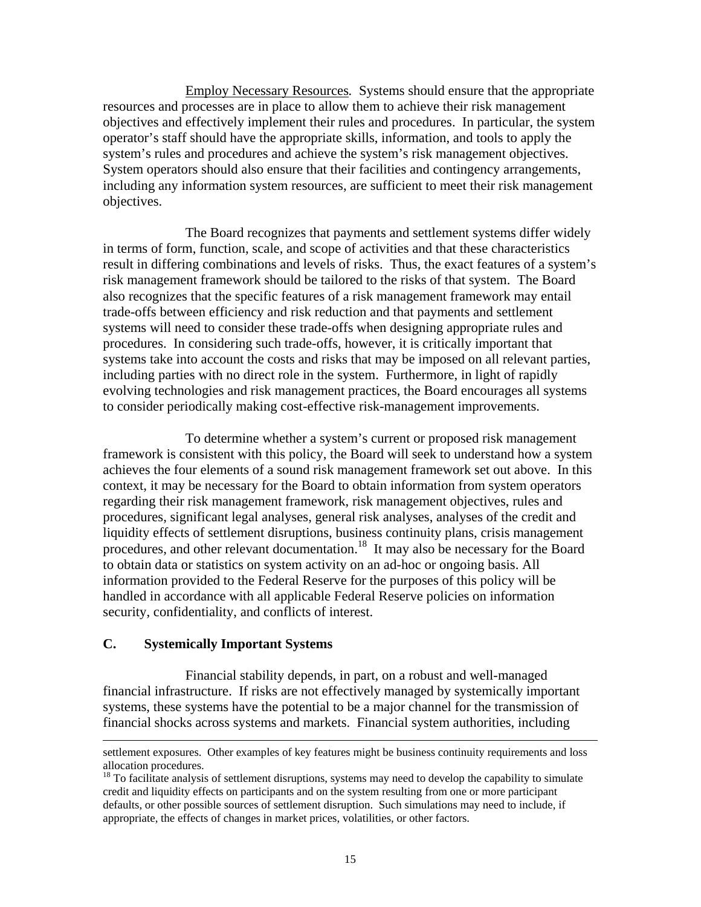Employ Necessary Resources*.* Systems should ensure that the appropriate resources and processes are in place to allow them to achieve their risk management objectives and effectively implement their rules and procedures. In particular, the system operator's staff should have the appropriate skills, information, and tools to apply the system's rules and procedures and achieve the system's risk management objectives. System operators should also ensure that their facilities and contingency arrangements, including any information system resources, are sufficient to meet their risk management objectives.

 The Board recognizes that payments and settlement systems differ widely in terms of form, function, scale, and scope of activities and that these characteristics result in differing combinations and levels of risks. Thus, the exact features of a system's risk management framework should be tailored to the risks of that system. The Board also recognizes that the specific features of a risk management framework may entail trade-offs between efficiency and risk reduction and that payments and settlement systems will need to consider these trade-offs when designing appropriate rules and procedures. In considering such trade-offs, however, it is critically important that systems take into account the costs and risks that may be imposed on all relevant parties, including parties with no direct role in the system. Furthermore, in light of rapidly evolving technologies and risk management practices, the Board encourages all systems to consider periodically making cost-effective risk-management improvements.

To determine whether a system's current or proposed risk management framework is consistent with this policy, the Board will seek to understand how a system achieves the four elements of a sound risk management framework set out above. In this context, it may be necessary for the Board to obtain information from system operators regarding their risk management framework, risk management objectives, rules and procedures, significant legal analyses, general risk analyses, analyses of the credit and liquidity effects of settlement disruptions, business continuity plans, crisis management procedures, and other relevant documentation.18 It may also be necessary for the Board to obtain data or statistics on system activity on an ad-hoc or ongoing basis. All information provided to the Federal Reserve for the purposes of this policy will be handled in accordance with all applicable Federal Reserve policies on information security, confidentiality, and conflicts of interest.

#### **C. Systemically Important Systems**

l

 Financial stability depends, in part, on a robust and well-managed financial infrastructure. If risks are not effectively managed by systemically important systems, these systems have the potential to be a major channel for the transmission of financial shocks across systems and markets. Financial system authorities, including

settlement exposures. Other examples of key features might be business continuity requirements and loss allocation procedures.

 $18$  To facilitate analysis of settlement disruptions, systems may need to develop the capability to simulate credit and liquidity effects on participants and on the system resulting from one or more participant defaults, or other possible sources of settlement disruption. Such simulations may need to include, if appropriate, the effects of changes in market prices, volatilities, or other factors.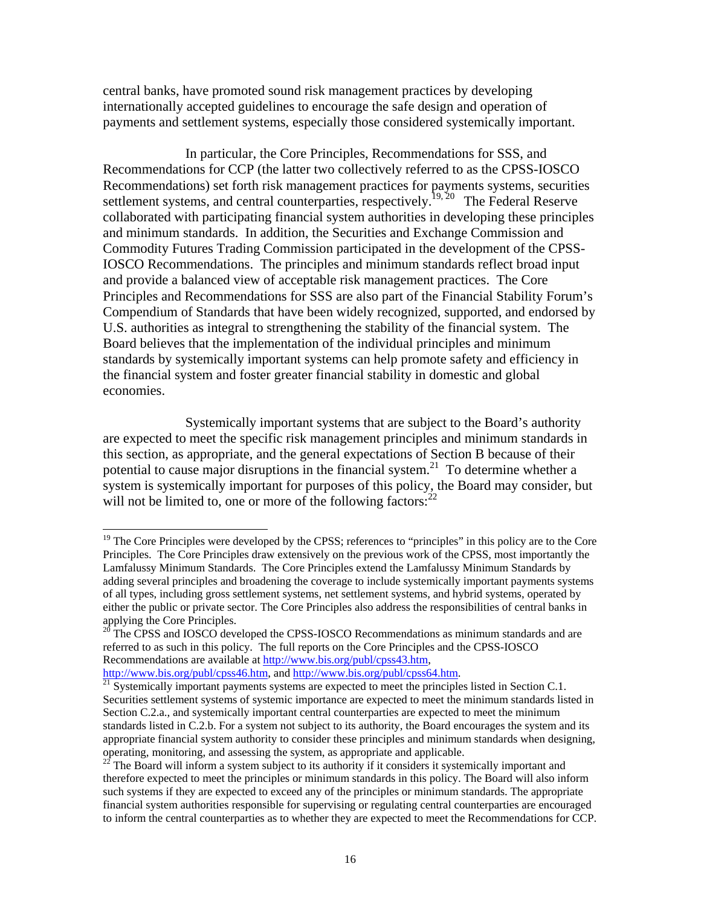central banks, have promoted sound risk management practices by developing internationally accepted guidelines to encourage the safe design and operation of payments and settlement systems, especially those considered systemically important.

 In particular, the Core Principles, Recommendations for SSS, and Recommendations for CCP (the latter two collectively referred to as the CPSS-IOSCO Recommendations) set forth risk management practices for payments systems, securities settlement systems, and central counterparties, respectively.<sup>19, 20</sup> The Federal Reserve collaborated with participating financial system authorities in developing these principles and minimum standards. In addition, the Securities and Exchange Commission and Commodity Futures Trading Commission participated in the development of the CPSS-IOSCO Recommendations. The principles and minimum standards reflect broad input and provide a balanced view of acceptable risk management practices. The Core Principles and Recommendations for SSS are also part of the Financial Stability Forum's Compendium of Standards that have been widely recognized, supported, and endorsed by U.S. authorities as integral to strengthening the stability of the financial system. The Board believes that the implementation of the individual principles and minimum standards by systemically important systems can help promote safety and efficiency in the financial system and foster greater financial stability in domestic and global economies.

 Systemically important systems that are subject to the Board's authority are expected to meet the specific risk management principles and minimum standards in this section, as appropriate, and the general expectations of Section B because of their potential to cause major disruptions in the financial system.<sup>21</sup> To determine whether a system is systemically important for purposes of this policy, the Board may consider, but will not be limited to, one or more of the following factors:  $2^2$ 

<sup>&</sup>lt;sup>19</sup> The Core Principles were developed by the CPSS; references to "principles" in this policy are to the Core Principles. The Core Principles draw extensively on the previous work of the CPSS, most importantly the Lamfalussy Minimum Standards. The Core Principles extend the Lamfalussy Minimum Standards by adding several principles and broadening the coverage to include systemically important payments systems of all types, including gross settlement systems, net settlement systems, and hybrid systems, operated by either the public or private sector. The Core Principles also address the responsibilities of central banks in applying the Core Principles.

<sup>&</sup>lt;sup>20</sup> The CPSS and IOSCO developed the CPSS-IOSCO Recommendations as minimum standards and are referred to as such in this policy. The full reports on the Core Principles and the CPSS-IOSCO Recommendations are available at http://www.bis.org/publ/cpss43.htm, http://www.bis.org/publ/cpss64.htm.

 $\frac{1}{21}$  Systemically important payments systems are expected to meet the principles listed in Section C.1. Securities settlement systems of systemic importance are expected to meet the minimum standards listed in Section C.2.a., and systemically important central counterparties are expected to meet the minimum standards listed in C.2.b. For a system not subject to its authority, the Board encourages the system and its appropriate financial system authority to consider these principles and minimum standards when designing,

operating, monitoring, and assessing the system, as appropriate and applicable.  $22$  The Board will inform a system subject to its authority if it considers it systemically important and therefore expected to meet the principles or minimum standards in this policy. The Board will also inform such systems if they are expected to exceed any of the principles or minimum standards. The appropriate financial system authorities responsible for supervising or regulating central counterparties are encouraged to inform the central counterparties as to whether they are expected to meet the Recommendations for CCP.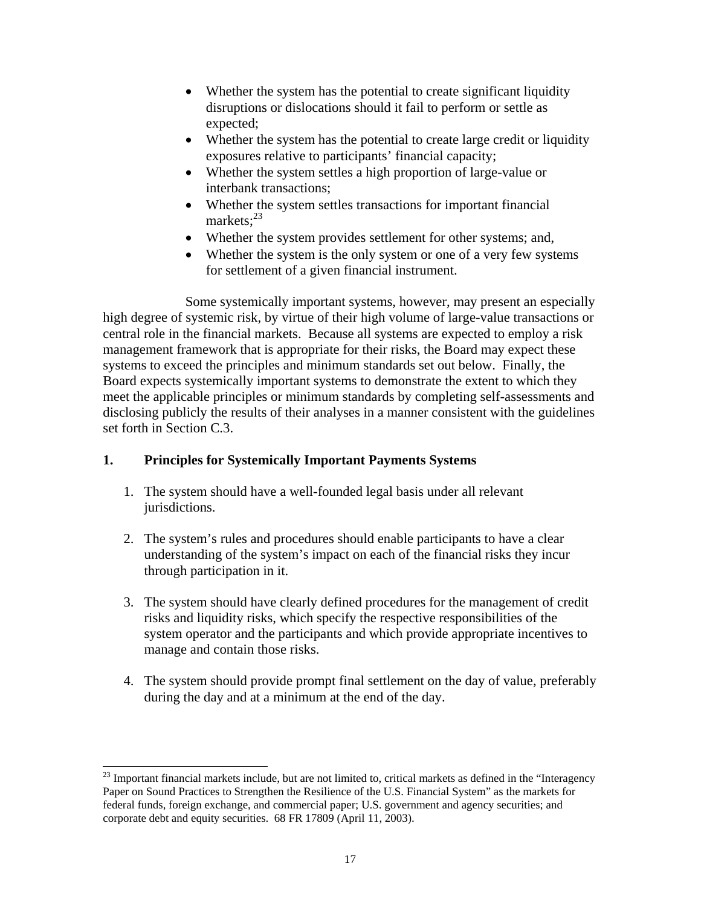- Whether the system has the potential to create significant liquidity disruptions or dislocations should it fail to perform or settle as expected;
- Whether the system has the potential to create large credit or liquidity exposures relative to participants' financial capacity;
- Whether the system settles a high proportion of large-value or interbank transactions;
- Whether the system settles transactions for important financial markets:<sup>23</sup>
- Whether the system provides settlement for other systems; and,
- Whether the system is the only system or one of a very few systems for settlement of a given financial instrument.

 Some systemically important systems, however, may present an especially high degree of systemic risk, by virtue of their high volume of large-value transactions or central role in the financial markets. Because all systems are expected to employ a risk management framework that is appropriate for their risks, the Board may expect these systems to exceed the principles and minimum standards set out below. Finally, the Board expects systemically important systems to demonstrate the extent to which they meet the applicable principles or minimum standards by completing self-assessments and disclosing publicly the results of their analyses in a manner consistent with the guidelines set forth in Section C.3.

# **1. Principles for Systemically Important Payments Systems**

- 1. The system should have a well-founded legal basis under all relevant jurisdictions.
- 2. The system's rules and procedures should enable participants to have a clear understanding of the system's impact on each of the financial risks they incur through participation in it.
- 3. The system should have clearly defined procedures for the management of credit risks and liquidity risks, which specify the respective responsibilities of the system operator and the participants and which provide appropriate incentives to manage and contain those risks.
- 4. The system should provide prompt final settlement on the day of value, preferably during the day and at a minimum at the end of the day.

 $^{23}$  Important financial markets include, but are not limited to, critical markets as defined in the "Interagency" Paper on Sound Practices to Strengthen the Resilience of the U.S. Financial System" as the markets for federal funds, foreign exchange, and commercial paper; U.S. government and agency securities; and corporate debt and equity securities. 68 FR 17809 (April 11, 2003).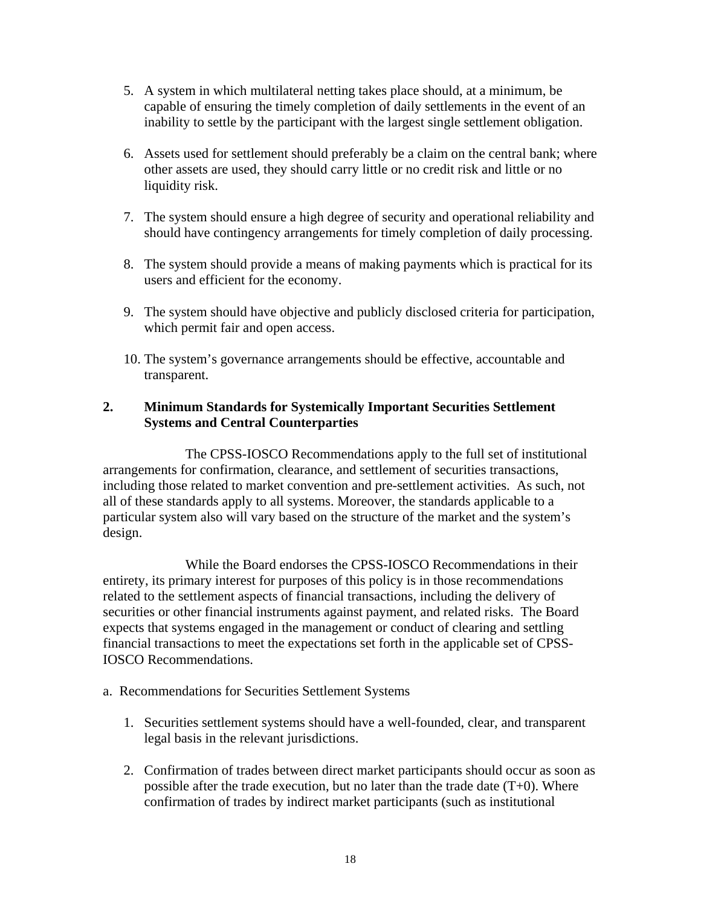- 5. A system in which multilateral netting takes place should, at a minimum, be capable of ensuring the timely completion of daily settlements in the event of an inability to settle by the participant with the largest single settlement obligation.
- 6. Assets used for settlement should preferably be a claim on the central bank; where other assets are used, they should carry little or no credit risk and little or no liquidity risk.
- 7. The system should ensure a high degree of security and operational reliability and should have contingency arrangements for timely completion of daily processing.
- 8. The system should provide a means of making payments which is practical for its users and efficient for the economy.
- 9. The system should have objective and publicly disclosed criteria for participation, which permit fair and open access.
- 10. The system's governance arrangements should be effective, accountable and transparent.

## **2. Minimum Standards for Systemically Important Securities Settlement Systems and Central Counterparties**

 The CPSS-IOSCO Recommendations apply to the full set of institutional arrangements for confirmation, clearance, and settlement of securities transactions, including those related to market convention and pre-settlement activities. As such, not all of these standards apply to all systems. Moreover, the standards applicable to a particular system also will vary based on the structure of the market and the system's design.

 While the Board endorses the CPSS-IOSCO Recommendations in their entirety, its primary interest for purposes of this policy is in those recommendations related to the settlement aspects of financial transactions, including the delivery of securities or other financial instruments against payment, and related risks. The Board expects that systems engaged in the management or conduct of clearing and settling financial transactions to meet the expectations set forth in the applicable set of CPSS-IOSCO Recommendations.

- a. Recommendations for Securities Settlement Systems
	- 1. Securities settlement systems should have a well-founded, clear, and transparent legal basis in the relevant jurisdictions.
	- 2. Confirmation of trades between direct market participants should occur as soon as possible after the trade execution, but no later than the trade date  $(T+0)$ . Where confirmation of trades by indirect market participants (such as institutional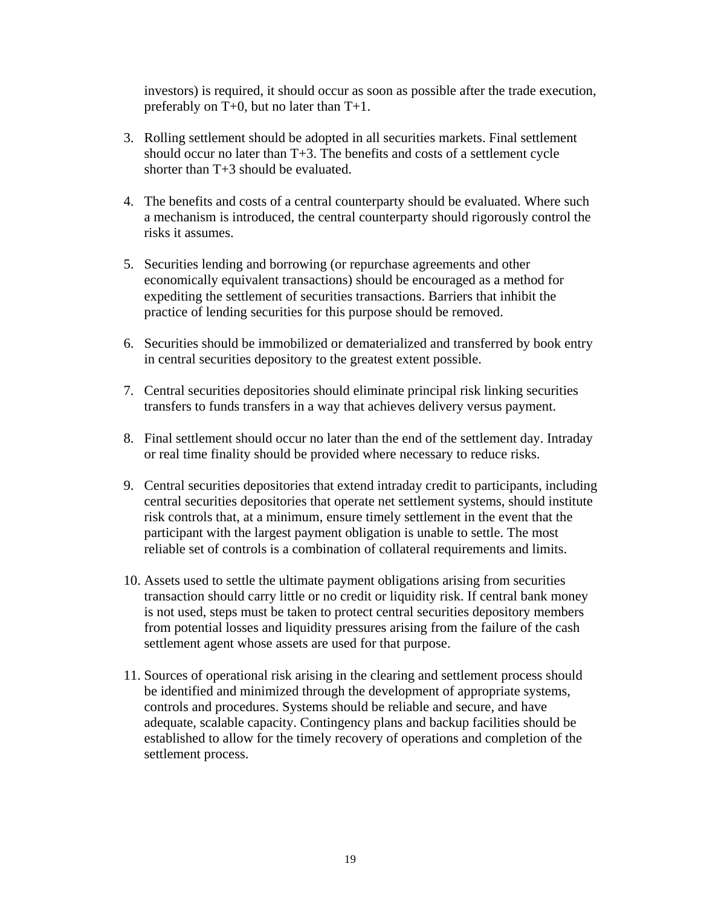investors) is required, it should occur as soon as possible after the trade execution, preferably on T+0, but no later than T+1.

- 3. Rolling settlement should be adopted in all securities markets. Final settlement should occur no later than T+3. The benefits and costs of a settlement cycle shorter than T+3 should be evaluated.
- 4. The benefits and costs of a central counterparty should be evaluated. Where such a mechanism is introduced, the central counterparty should rigorously control the risks it assumes.
- 5. Securities lending and borrowing (or repurchase agreements and other economically equivalent transactions) should be encouraged as a method for expediting the settlement of securities transactions. Barriers that inhibit the practice of lending securities for this purpose should be removed.
- 6. Securities should be immobilized or dematerialized and transferred by book entry in central securities depository to the greatest extent possible.
- 7. Central securities depositories should eliminate principal risk linking securities transfers to funds transfers in a way that achieves delivery versus payment.
- 8. Final settlement should occur no later than the end of the settlement day. Intraday or real time finality should be provided where necessary to reduce risks.
- 9. Central securities depositories that extend intraday credit to participants, including central securities depositories that operate net settlement systems, should institute risk controls that, at a minimum, ensure timely settlement in the event that the participant with the largest payment obligation is unable to settle. The most reliable set of controls is a combination of collateral requirements and limits.
- 10. Assets used to settle the ultimate payment obligations arising from securities transaction should carry little or no credit or liquidity risk. If central bank money is not used, steps must be taken to protect central securities depository members from potential losses and liquidity pressures arising from the failure of the cash settlement agent whose assets are used for that purpose.
- 11. Sources of operational risk arising in the clearing and settlement process should be identified and minimized through the development of appropriate systems, controls and procedures. Systems should be reliable and secure, and have adequate, scalable capacity. Contingency plans and backup facilities should be established to allow for the timely recovery of operations and completion of the settlement process.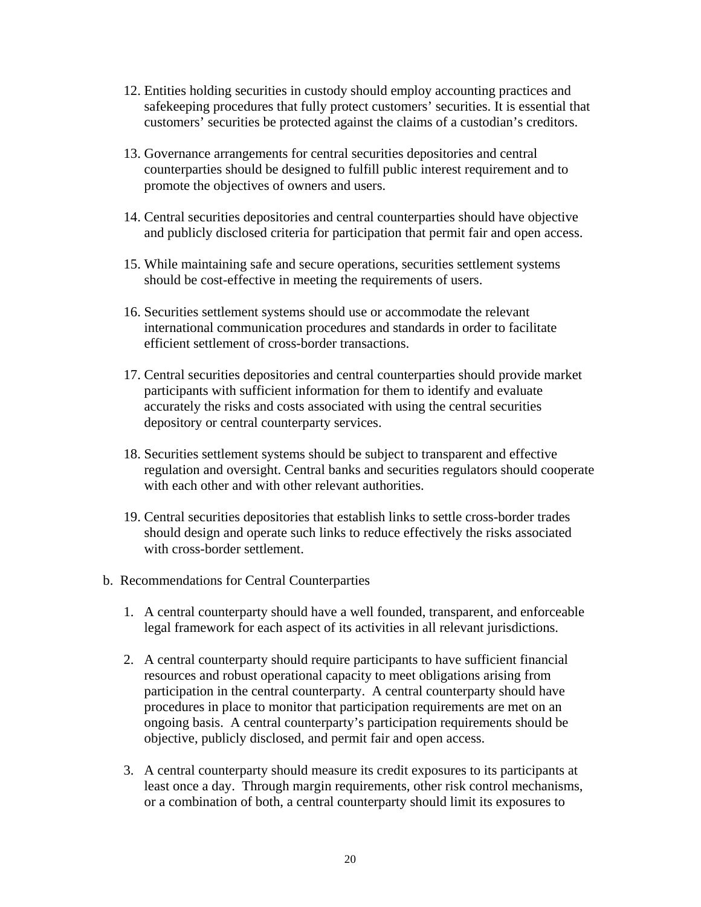- 12. Entities holding securities in custody should employ accounting practices and safekeeping procedures that fully protect customers' securities. It is essential that customers' securities be protected against the claims of a custodian's creditors.
- 13. Governance arrangements for central securities depositories and central counterparties should be designed to fulfill public interest requirement and to promote the objectives of owners and users.
- 14. Central securities depositories and central counterparties should have objective and publicly disclosed criteria for participation that permit fair and open access.
- 15. While maintaining safe and secure operations, securities settlement systems should be cost-effective in meeting the requirements of users.
- 16. Securities settlement systems should use or accommodate the relevant international communication procedures and standards in order to facilitate efficient settlement of cross-border transactions.
- 17. Central securities depositories and central counterparties should provide market participants with sufficient information for them to identify and evaluate accurately the risks and costs associated with using the central securities depository or central counterparty services.
- 18. Securities settlement systems should be subject to transparent and effective regulation and oversight. Central banks and securities regulators should cooperate with each other and with other relevant authorities.
- 19. Central securities depositories that establish links to settle cross-border trades should design and operate such links to reduce effectively the risks associated with cross-border settlement.
- b. Recommendations for Central Counterparties
	- 1. A central counterparty should have a well founded, transparent, and enforceable legal framework for each aspect of its activities in all relevant jurisdictions.
	- 2. A central counterparty should require participants to have sufficient financial resources and robust operational capacity to meet obligations arising from participation in the central counterparty. A central counterparty should have procedures in place to monitor that participation requirements are met on an ongoing basis. A central counterparty's participation requirements should be objective, publicly disclosed, and permit fair and open access.
	- 3. A central counterparty should measure its credit exposures to its participants at least once a day. Through margin requirements, other risk control mechanisms, or a combination of both, a central counterparty should limit its exposures to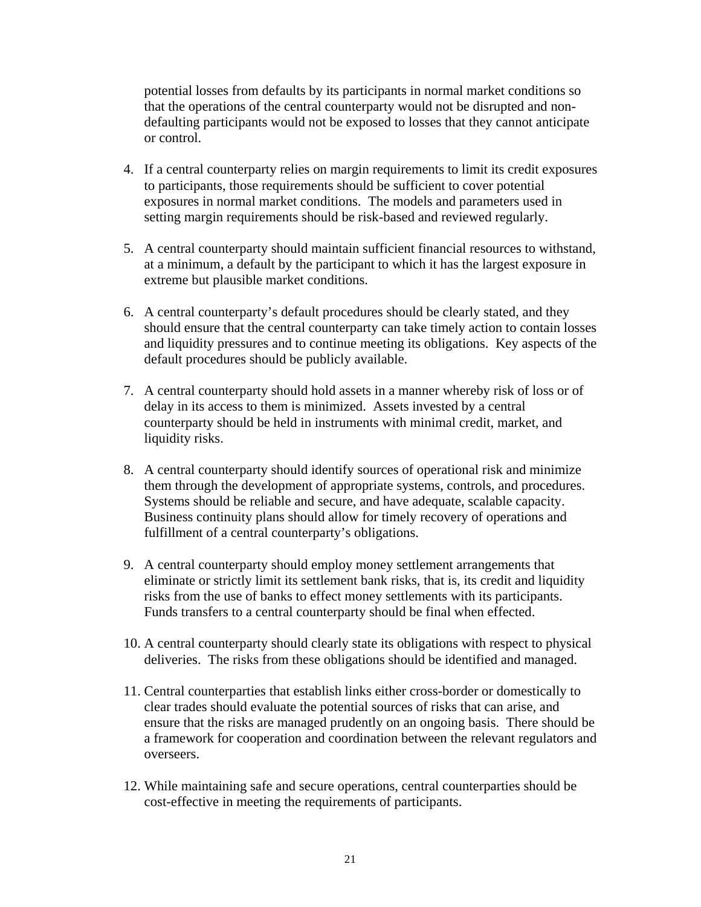potential losses from defaults by its participants in normal market conditions so that the operations of the central counterparty would not be disrupted and nondefaulting participants would not be exposed to losses that they cannot anticipate or control.

- 4. If a central counterparty relies on margin requirements to limit its credit exposures to participants, those requirements should be sufficient to cover potential exposures in normal market conditions. The models and parameters used in setting margin requirements should be risk-based and reviewed regularly.
- 5. A central counterparty should maintain sufficient financial resources to withstand, at a minimum, a default by the participant to which it has the largest exposure in extreme but plausible market conditions.
- 6. A central counterparty's default procedures should be clearly stated, and they should ensure that the central counterparty can take timely action to contain losses and liquidity pressures and to continue meeting its obligations. Key aspects of the default procedures should be publicly available.
- 7. A central counterparty should hold assets in a manner whereby risk of loss or of delay in its access to them is minimized. Assets invested by a central counterparty should be held in instruments with minimal credit, market, and liquidity risks.
- 8. A central counterparty should identify sources of operational risk and minimize them through the development of appropriate systems, controls, and procedures. Systems should be reliable and secure, and have adequate, scalable capacity. Business continuity plans should allow for timely recovery of operations and fulfillment of a central counterparty's obligations.
- 9. A central counterparty should employ money settlement arrangements that eliminate or strictly limit its settlement bank risks, that is, its credit and liquidity risks from the use of banks to effect money settlements with its participants. Funds transfers to a central counterparty should be final when effected.
- 10. A central counterparty should clearly state its obligations with respect to physical deliveries. The risks from these obligations should be identified and managed.
- 11. Central counterparties that establish links either cross-border or domestically to clear trades should evaluate the potential sources of risks that can arise, and ensure that the risks are managed prudently on an ongoing basis. There should be a framework for cooperation and coordination between the relevant regulators and overseers.
- 12. While maintaining safe and secure operations, central counterparties should be cost-effective in meeting the requirements of participants.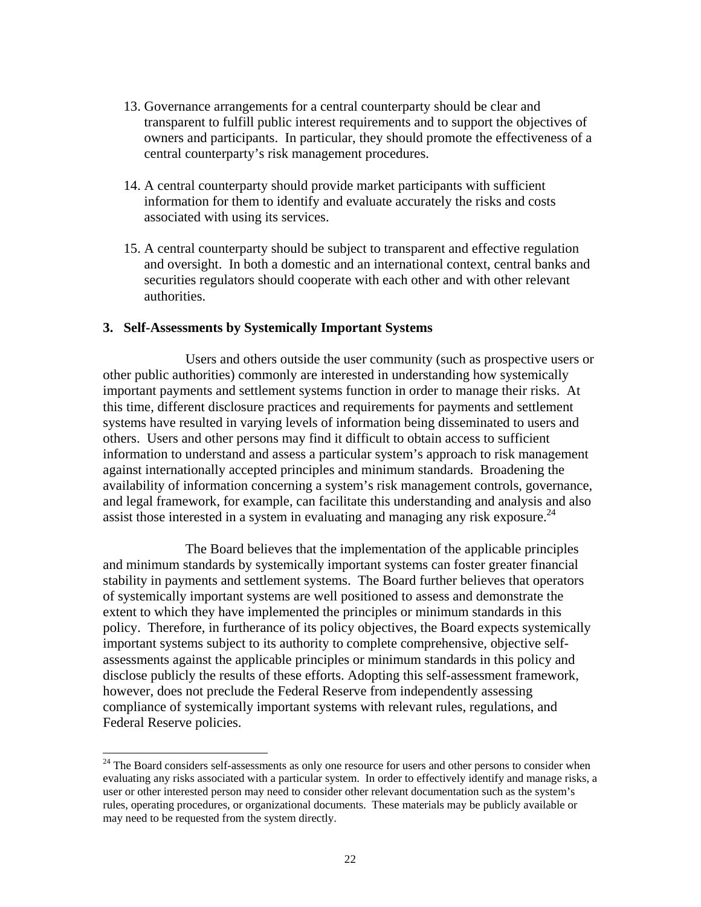- 13. Governance arrangements for a central counterparty should be clear and transparent to fulfill public interest requirements and to support the objectives of owners and participants. In particular, they should promote the effectiveness of a central counterparty's risk management procedures.
- 14. A central counterparty should provide market participants with sufficient information for them to identify and evaluate accurately the risks and costs associated with using its services.
- 15. A central counterparty should be subject to transparent and effective regulation and oversight. In both a domestic and an international context, central banks and securities regulators should cooperate with each other and with other relevant authorities.

#### **3. Self-Assessments by Systemically Important Systems**

 $\overline{a}$ 

 Users and others outside the user community (such as prospective users or other public authorities) commonly are interested in understanding how systemically important payments and settlement systems function in order to manage their risks. At this time, different disclosure practices and requirements for payments and settlement systems have resulted in varying levels of information being disseminated to users and others. Users and other persons may find it difficult to obtain access to sufficient information to understand and assess a particular system's approach to risk management against internationally accepted principles and minimum standards. Broadening the availability of information concerning a system's risk management controls, governance, and legal framework, for example, can facilitate this understanding and analysis and also assist those interested in a system in evaluating and managing any risk exposure.<sup>24</sup>

 The Board believes that the implementation of the applicable principles and minimum standards by systemically important systems can foster greater financial stability in payments and settlement systems. The Board further believes that operators of systemically important systems are well positioned to assess and demonstrate the extent to which they have implemented the principles or minimum standards in this policy. Therefore, in furtherance of its policy objectives, the Board expects systemically important systems subject to its authority to complete comprehensive, objective selfassessments against the applicable principles or minimum standards in this policy and disclose publicly the results of these efforts. Adopting this self-assessment framework, however, does not preclude the Federal Reserve from independently assessing compliance of systemically important systems with relevant rules, regulations, and Federal Reserve policies.

<sup>&</sup>lt;sup>24</sup> The Board considers self-assessments as only one resource for users and other persons to consider when evaluating any risks associated with a particular system. In order to effectively identify and manage risks, a user or other interested person may need to consider other relevant documentation such as the system's rules, operating procedures, or organizational documents. These materials may be publicly available or may need to be requested from the system directly.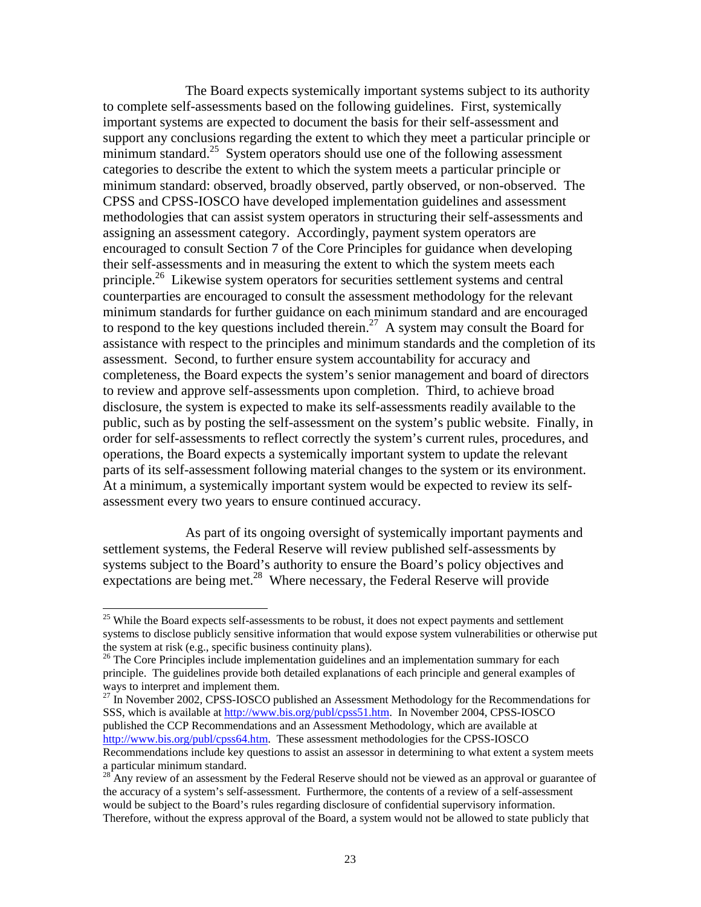The Board expects systemically important systems subject to its authority to complete self-assessments based on the following guidelines. First, systemically important systems are expected to document the basis for their self-assessment and support any conclusions regarding the extent to which they meet a particular principle or minimum standard.<sup>25</sup> System operators should use one of the following assessment categories to describe the extent to which the system meets a particular principle or minimum standard: observed, broadly observed, partly observed, or non-observed. The CPSS and CPSS-IOSCO have developed implementation guidelines and assessment methodologies that can assist system operators in structuring their self-assessments and assigning an assessment category. Accordingly, payment system operators are encouraged to consult Section 7 of the Core Principles for guidance when developing their self-assessments and in measuring the extent to which the system meets each principle.<sup>26</sup> Likewise system operators for securities settlement systems and central counterparties are encouraged to consult the assessment methodology for the relevant minimum standards for further guidance on each minimum standard and are encouraged to respond to the key questions included therein.<sup>27</sup> A system may consult the Board for assistance with respect to the principles and minimum standards and the completion of its assessment. Second, to further ensure system accountability for accuracy and completeness, the Board expects the system's senior management and board of directors to review and approve self-assessments upon completion. Third, to achieve broad disclosure, the system is expected to make its self-assessments readily available to the public, such as by posting the self-assessment on the system's public website. Finally, in order for self-assessments to reflect correctly the system's current rules, procedures, and operations, the Board expects a systemically important system to update the relevant parts of its self-assessment following material changes to the system or its environment. At a minimum, a systemically important system would be expected to review its selfassessment every two years to ensure continued accuracy.

 As part of its ongoing oversight of systemically important payments and settlement systems, the Federal Reserve will review published self-assessments by systems subject to the Board's authority to ensure the Board's policy objectives and expectations are being met.<sup>28</sup> Where necessary, the Federal Reserve will provide

 $\overline{a}$ 

 $^{27}$  In November 2002, CPSS-IOSCO published an Assessment Methodology for the Recommendations for SSS, which is available at http://www.bis.org/publ/cpss51.htm. In November 2004, CPSS-IOSCO published the CCP Recommendations and an Assessment Methodology, which are available at http://www.bis.org/publ/cpss64.htm. These assessment methodologies for the CPSS-IOSCO Recommendations include key questions to assist an assessor in determining to what extent a system meets a particular minimum standard.

<sup>&</sup>lt;sup>25</sup> While the Board expects self-assessments to be robust, it does not expect payments and settlement systems to disclose publicly sensitive information that would expose system vulnerabilities or otherwise put the system at risk (e.g., specific business continuity plans).<br><sup>26</sup> The Core Principles include implementation guidelines and an implementation summary for each

principle. The guidelines provide both detailed explanations of each principle and general examples of ways to interpret and implement them.

 $28$  Any review of an assessment by the Federal Reserve should not be viewed as an approval or guarantee of the accuracy of a system's self-assessment. Furthermore, the contents of a review of a self-assessment would be subject to the Board's rules regarding disclosure of confidential supervisory information. Therefore, without the express approval of the Board, a system would not be allowed to state publicly that